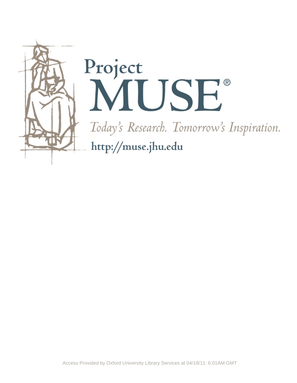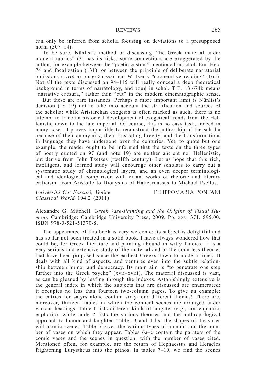can only be inferred from scholia focusing on deviations to a presupposed norm (307–14).

To be sure, Nünlist's method of discussing "the Greek material under modern rubrics" (3) has its risks: some connections are exaggerated by the author, for example between the "poetic custom" mentioned in schol. Eur. Hec. 74 and focalization (131), or between the principle of deliberate narratorial omissions (κατὰ τὸ σιωπώμενα) and W. Iser's "cooperative reading" (165). Not all the texts discussed on 94–115 will really conceal a deep theoretical background in terms of narratology, and τομή in schol. T Il. 13.674b means "narrative caesura," rather than "cut" in the modern cinematographic sense.

But these are rare instances. Perhaps a more important limit is Nünlist's decision (18–19) not to take into account the stratification and sources of the scholia: while Aristarchan exegesis is often marked as such, there is no attempt to trace an historical development of exegetical trends from the Hellenistic down to the late imperial. Of course, this is no easy task; indeed in many cases it proves impossible to reconstruct the authorship of the scholia because of their anonymity, their frustrating brevity, and the transformations in language they have undergone over the centuries. Yet, to quote but one example, the reader ought to be informed that the texts on the three types of poetry quoted on 97 (and note 19) are neither ancient nor Hellenistic, but derive from John Tzetzes (twelfth century). Let us hope that this rich, intelligent, and learned study will encourage other scholars to carry out a systematic study of chronological layers, and an even deeper terminological and ideological comparison with extant works of rhetoric and literary criticism, from Aristotle to Dionysius of Halicarnassus to Michael Psellus.

*Università Ca' Foscari, Venice* FILIPPOMARIA PONTANI *Classical World* 104.2 (2011)

Alexandre G. Mitchell. *Greek Vase-Painting and the Origins of Visual Humour.* Cambridge: Cambridge University Press, 2009. Pp. xxv, 371. \$95.00. ISBN 978-0-521-51370-8.

The appearance of this book is very welcome: its subject is delightful and has so far not been treated in a solid book. I have always wondered how that could be, for Greek literature and painting abound in witty fancies. It is a very serious and extensive study of the material and of the countless theories that have been proposed since the earliest Greeks down to modern times. It deals with all kind of aspects, and ventures even into the subtle relationship between humor and democracy. Its main aim is "to penetrate one step further into the Greek psyche" (xvii–xviii). The material discussed is vast, as can be gleaned by leafing through the indexes. Astonishingly extensive is the general index in which the subjects that are discussed are enumerated: it occupies no less than fourteen two-column pages. To give an example: the entries for satyrs alone contain sixty-four different themes! There are, moreover, thirteen Tables in which the comical scenes are arranged under various headings. Table 1 lists different kinds of laughter (e.g., non-euphoric, euphoric), while table 2 lists the various theories and the anthropological approach to humor and laughter. Tables 3 and 4 list the shapes of the vases with comic scenes. Table 5 gives the various types of humour and the number of vases on which they appear. Tables 6a–c contain the painters of the comic vases and the scenes in question, with the number of vases cited. Mentioned often, for example, are the return of Hephaestus and Heracles frightening Eurystheus into the pithos. In tables 7–10, we find the scenes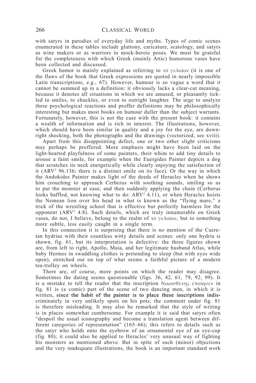with satyrs in parodies of everyday life and myths. Types of comic scenes enumerated in these tables include gluttony, caricature, scatology, and satyrs as wine makers or as warriors in mock-heroic poses. We must be grateful for the completeness with which Greek (mainly Attic) humorous vases have been collected and discussed.

Greek humor is mainly explained as referring to  $\tau$   $\delta \gamma \epsilon \lambda$ οῖον (it is one of the flaws of the book that Greek expressions are quoted in nearly impossible Latin transcriptions, e.g., 67). However, humour is so vague a word that it cannot be summed up in a definition: it obviously lacks a clear-cut meaning, because it denotes all situations in which we are amused, or pleasantly tickled to smiles, to chuckles, or even to outright laughter. The urge to analyze these psychological reactions and proffer definitions may be philosophically interesting but makes most books on humour duller than the subject warrants. Fortunately, however, this is not the case with the present book: it contains a wealth of information and is rich in interest. The illustrations, however, which should have been similar in quality and a joy for the eye, are downright shocking, both the photographs and the drawings (vectorized, see xviii).

Apart from this disappointing defect, one or two other slight criticisms may perhaps be proffered. More emphasis might have been laid on the light-hearted playfulness of some painters, their whim to add tiny details to arouse a faint smile, for example when the Euergides Painter depicts a dog that scratches its neck energetically while clearly enjoying the satisfaction of it (ARV2 96.136; there is a distinct smile on its face). Or the way in which the Andokides Painter makes light of the deeds of Heracles when he shows him crouching to approach Cerberus with soothing sounds, smiling so as to put the monster at ease, and then suddenly applying the chain (Cerberus looks baffled, not knowing what to do: ARV<sup>2</sup> 4.11), or when Heracles hoists the Nemean lion over his head in what is known as the "flying mare," a trick of the wrestling school that is effective but perfectly harmless for the opponent (ARV2 4.8). Such details, which are truly innumerable on Greek vases, do not, I believe, belong to the realm of τὸ γελοῖον, but to something more subtle, less easily caught in a single term.

In this connection it is surprising that there is no mention of the Caeretan hydriae with their countless witty details and scenes: only one hydria is shown, fig. 61, but its interpretation is defective: the three figures shown are, from left to right, Apollo, Maia, and her legitimate husband Atlas, while baby Hermes in swaddling clothes is pretending to sleep (but with eyes wide open), stretched out on top of what seems a faithful picture of a modern tea-trolley on wheels.

There are, of course, more points on which the reader may disagree. Sometimes the dating seems questionable (figs. 36, 42, 61, 79, 92, 99). It is a mistake to tell the reader that the inscription Νικοσθένης ἐποίησεν in fig. 81 is (a comic) part of the scene of two dancing men, in which it is written, since the habit of the painter is to place these inscriptions indiscriminately in very unlikely spots on his pots; the comment under fig. 81 is therefore misleading. It may also be remarked that the style of writing is in places somewhat cumbersome. For example it is said that satyrs often "despoil the usual iconography and become a translation agent between different categories of representation" (165–66); this refers to details such as the satyr who holds onto the eyebrow of an ornamental eye of an eye-cup (fig. 80); it could also be applied to Heracles' very unusual way of fighting his monsters as mentioned above. But in spite of such (minor) objections and the very inadequate illustrations, the book is an important standard work